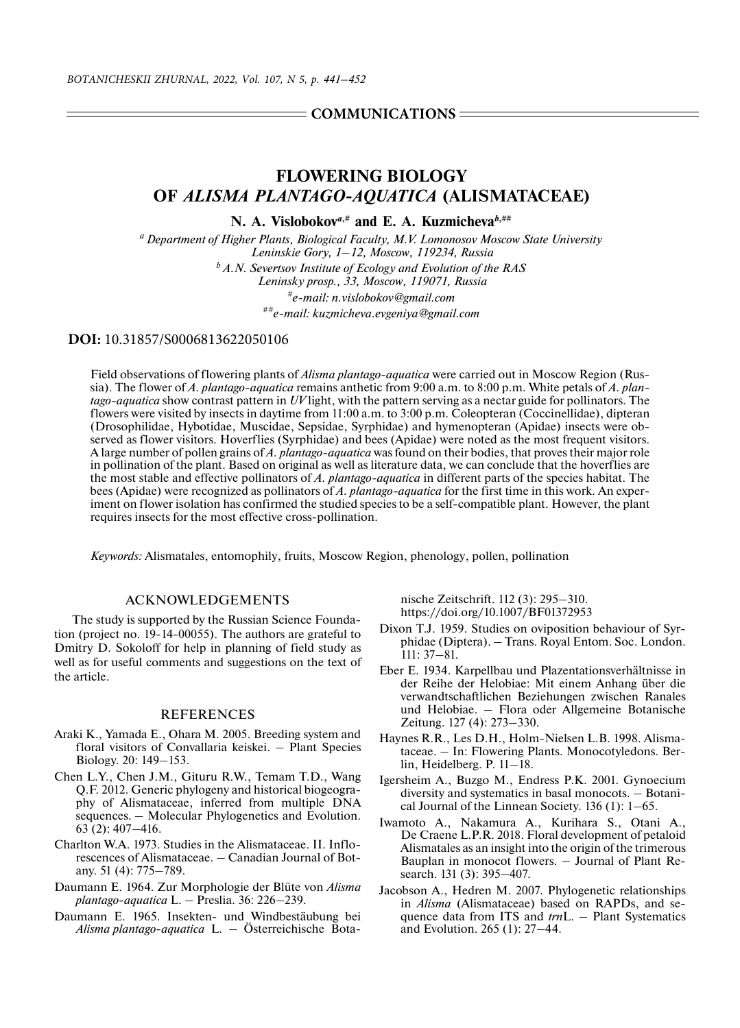## $=$  COMMUNICATIONS  $=$

# **FLOWERING BIOLOGY OF** *ALISMA PLANTAGO-AQUATICA* **(ALISMATACEAE)**

**N. A. Vislobokov***a***,# and E. A. Kuzmicheva***b***,##**

*a Department of Higher Plants, Biological Faculty, M.V. Lomonosov Moscow State University Leninskie Gory, 1–12, Moscow, 119234, Russia b A.N. Severtsov Institute of Ecology and Evolution of the RAS Leninsky prosp., 33, Moscow, 119071, Russia #e-mail: n.vislobokov@gmail.com ##e-mail: kuzmicheva.evgeniya@gmail.com*

### **DOI:** 10.31857/S0006813622050106

Field observations of flowering plants of *Alisma plantago-aquatica* were carried out in Moscow Region (Russia). The flower of *A. plantago-aquatica* remains anthetic from 9:00 a.m. to 8:00 p.m. White petals of *A. plantago-aquatica* show contrast pattern in *UV* light, with the pattern serving as a nectar guide for pollinators. The flowers were visited by insects in daytime from 11:00 a.m. to 3:00 p.m. Coleopteran (Coccinellidae), dipteran (Drosophilidae, Hybotidae, Muscidae, Sepsidae, Syrphidae) and hymenopteran (Apidae) insects were observed as flower visitors. Hoverflies (Syrphidae) and bees (Apidae) were noted as the most frequent visitors. A large number of pollen grains of *A. plantago-aquatica* was found on their bodies, that proves their major role in pollination of the plant. Based on original as well as literature data, we can conclude that the hoverflies are the most stable and effective pollinators of *A. plantago-aquatica* in different parts of the species habitat. The bees (Apidae) were recognized as pollinators of *A. plantago-aquatica* for the first time in this work. An experiment on flower isolation has confirmed the studied species to be a self-compatible plant. However, the plant requires insects for the most effective cross-pollination.

*Keywords:* Alismatales, entomophily, fruits, Moscow Region, phenology, pollen, pollination

### ACKNOWLEDGEMENTS

The study is supported by the Russian Science Foundation (project no. 19-14-00055). The authors are grateful to Dmitry D. Sokoloff for help in planning of field study as well as for useful comments and suggestions on the text of the article.

#### REFERENCES

- Araki K., Yamada E., Ohara M. 2005. Breeding system and floral visitors of Convallaria keiskei. – Plant Species Biology. 20: 149–153.
- Chen L.Y., Chen J.M., Gituru R.W., Temam T.D., Wang Q.F. 2012. Generic phylogeny and historical biogeography of Alismataceae, inferred from multiple DNA sequences. – Molecular Phylogenetics and Evolution. 63 (2): 407–416.
- Charlton W.A. 1973. Studies in the Alismataceae. II. Inflorescences of Alismataceae. – Canadian Journal of Botany. 51 (4): 775–789.
- Daumann E. 1964. Zur Morphologie der Blüte von *Alisma plantago*-*aquatica* L. – Preslia. 36: 226–239.
- Daumann E. 1965. Insekten- und Windbestäubung bei *Alisma plantago*-*aquatica* L. – Österreichische Bota-

nische Zeitschrift. 112 (3): 295–310. https://doi.org/10.1007/BF01372953

- Dixon T.J. 1959. Studies on oviposition behaviour of Syrphidae (Diptera). – Trans. Royal Entom. Soc. London. 111: 37–81.
- Eber E. 1934. Karpellbau und Plazentationsverhältnisse in der Reihe der Helobiae: Mit einem Anhang über die verwandtschaftlichen Beziehungen zwischen Ranales und Helobiae. – Flora oder Allgemeine Botanische Zeitung. 127 (4): 273–330.
- Haynes R.R., Les D.H., Holm-Nielsen L.B. 1998. Alismataceae. – In: Flowering Plants. Monocotyledons. Berlin, Heidelberg. P. 11–18.
- Igersheim A., Buzgo M., Endress P.K. 2001. Gynoecium diversity and systematics in basal monocots. – Botanical Journal of the Linnean Society. 136 (1): 1–65.
- Iwamoto A., Nakamura A., Kurihara S., Otani A., De Craene L.P.R. 2018. Floral development of petaloid Alismatales as an insight into the origin of the trimerous Bauplan in monocot flowers. – Journal of Plant Research. 131 (3): 395–407.
- Jacobson A., Hedren M. 2007. Phylogenetic relationships in *Alisma* (Alismataceae) based on RAPDs, and sequence data from ITS and *trn*L. – Plant Systematics and Evolution. 265 (1): 27–44.